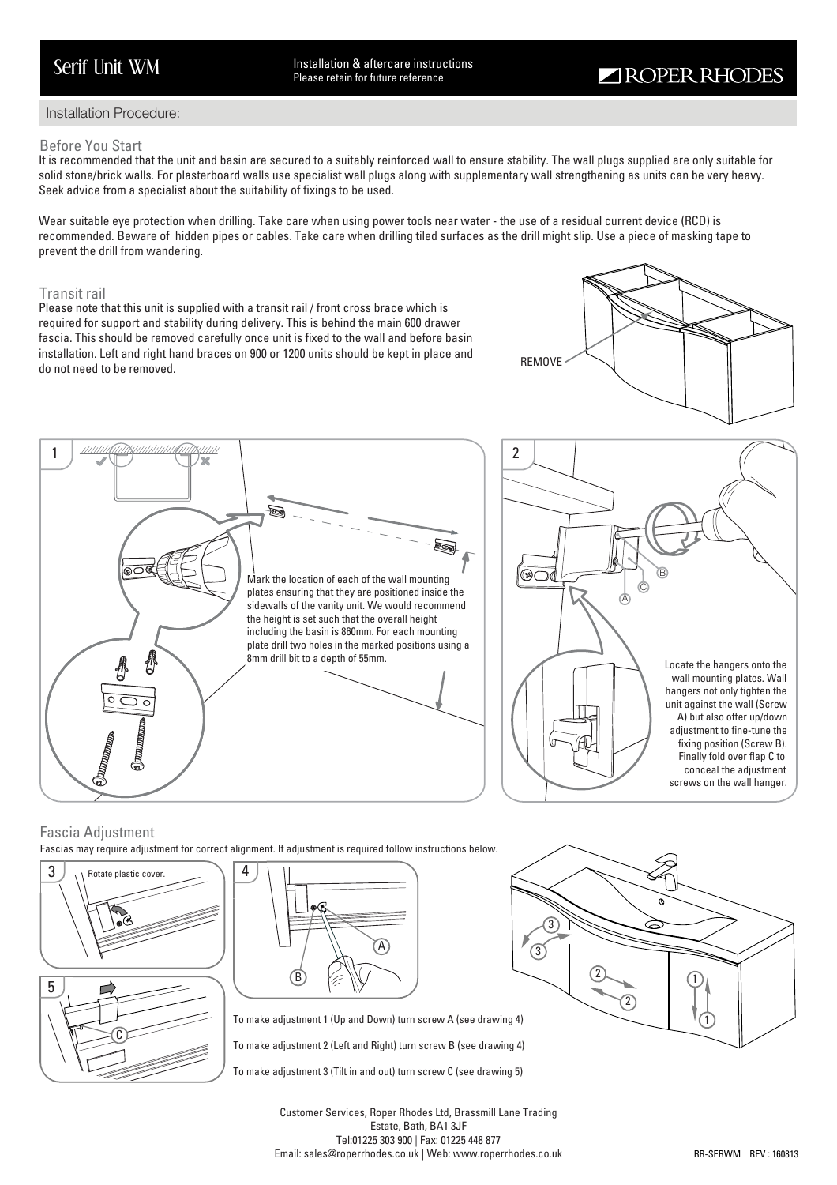Serif Unit WM Installation & aftercare instructions Please retain for future reference

# Installation Procedure:

## Before You Start

It is recommended that the unit and basin are secured to a suitably reinforced wall to ensure stability. The wall plugs supplied are only suitable for solid stone/brick walls. For plasterboard walls use specialist wall plugs along with supplementary wall strengthening as units can be very heavy. Seek advice from a specialist about the suitability of fixings to be used.

Wear suitable eye protection when drilling. Take care when using power tools near water - the use of a residual current device (RCD) is recommended. Beware of hidden pipes or cables. Take care when drilling tiled surfaces as the drill might slip. Use a piece of masking tape to prevent the drill from wandering.

# Transit rail

Please note that this unit is supplied with a transit rail / front cross brace which is required for support and stability during delivery. This is behind the main 600 drawer fascia. This should be removed carefully once unit is fixed to the wall and before basin installation. Left and right hand braces on 900 or 1200 units should be kept in place and instantion. Lett and right hand braces on 900 or 1200 differentiation be kept in place and removed.<br>do not need to be removed.







# Fascia Adjustment

Fascias may require adjustment for correct alignment. If adjustment is required follow instructions below.





A B

To make adjustment 1 (Up and Down) turn screw A (see drawing 4)

To make adjustment 2 (Left and Right) turn screw B (see drawing 4)

To make adjustment 3 (Tilt in and out) turn screw C (see drawing 5)



Customer Services, Roper Rhodes Ltd, Brassmill Lane Trading Estate, Bath, BA1 3JF Tel:01225 303 900 | Fax: 01225 448 877 Email: sales@roperrhodes.co.uk | Web: www.roperrhodes.co.uk